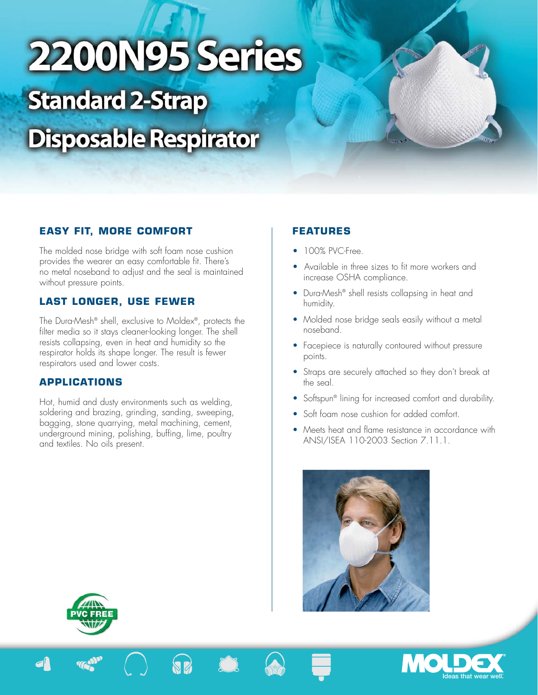# 2200N95 Series **Standard 2-Strap Disposable Respirator**

# **EASY FIT, MORE COMFORT**

The molded nose bridge with soft foam nose cushion provides the wearer an easy comfortable fit. There's no metal noseband to adjust and the seal is maintained without pressure points.

## **LAST LONGER, USE FEWER**

The Dura-Mesh® shell, exclusive to Moldex®, protects the filter media so it stays cleaner-looking longer. The shell resists collapsing, even in heat and humidity so the respirator holds its shape longer. The result is fewer respirators used and lower costs.

## **APPLICATIONS**

Hot, humid and dusty environments such as welding, soldering and brazing, grinding, sanding, sweeping, bagging, stone quarrying, metal machining, cement, underground mining, polishing, buffing, lime, poultry and textiles. No oils present.

# **FEATURES**

- 100% PVC-Free
- Available in three sizes to fit more workers and increase OSHA compliance.
- Dura-Mesh<sup>®</sup> shell resists collapsing in heat and humidity.
- Molded nose bridge seals easily without a metal noseband.
- Facepiece is naturally contoured without pressure points.
- Straps are securely attached so they don't break at the seal.
- Softspun<sup>®</sup> lining for increased comfort and durability.
- Soft foam nose cushion for added comfort.
- Meets heat and flame resistance in accordance with ANSI/ISEA 110-2003 Section 7.11.1.